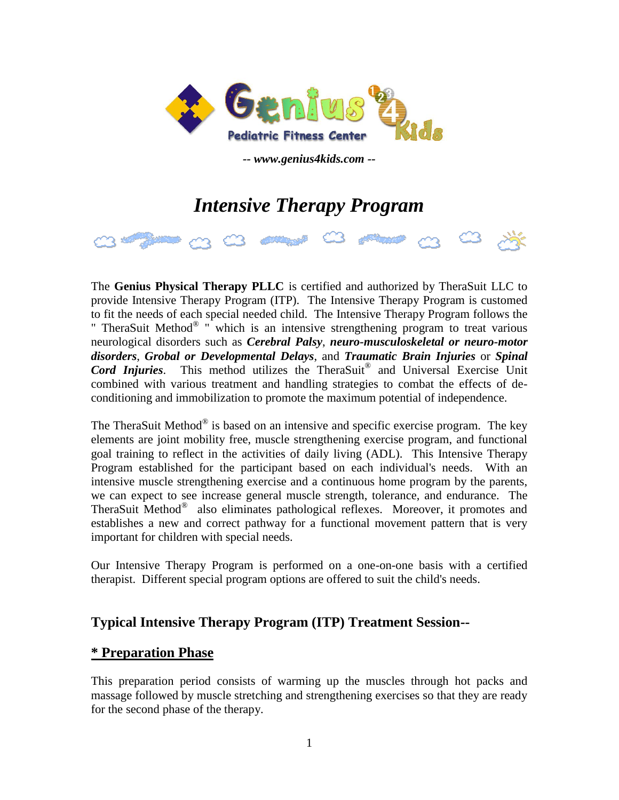

*-- www.genius4kids.com --*

# *Intensive Therapy Program*



The **Genius Physical Therapy PLLC** is certified and authorized by TheraSuit LLC to provide Intensive Therapy Program (ITP). The Intensive Therapy Program is customed to fit the needs of each special needed child. The Intensive Therapy Program follows the " TheraSuit Method<sup>®</sup> " which is an intensive strengthening program to treat various neurological disorders such as *Cerebral Palsy*, *neuro-musculoskeletal or neuro-motor disorders*, *Grobal or Developmental Delays*, and *Traumatic Brain Injuries* or *Spinal Cord Injuries*. This method utilizes the TheraSuit® and Universal Exercise Unit combined with various treatment and handling strategies to combat the effects of deconditioning and immobilization to promote the maximum potential of independence.

The TheraSuit Method $^{\circledR}$  is based on an intensive and specific exercise program. The key elements are joint mobility free, muscle strengthening exercise program, and functional goal training to reflect in the activities of daily living (ADL). This Intensive Therapy Program established for the participant based on each individual's needs. With an intensive muscle strengthening exercise and a continuous home program by the parents, we can expect to see increase general muscle strength, tolerance, and endurance. The TheraSuit Method® also eliminates pathological reflexes. Moreover, it promotes and establishes a new and correct pathway for a functional movement pattern that is very important for children with special needs.

Our Intensive Therapy Program is performed on a one-on-one basis with a certified therapist. Different special program options are offered to suit the child's needs.

# **Typical Intensive Therapy Program (ITP) Treatment Session--**

## **\* Preparation Phase**

This preparation period consists of warming up the muscles through hot packs and massage followed by muscle stretching and strengthening exercises so that they are ready for the second phase of the therapy.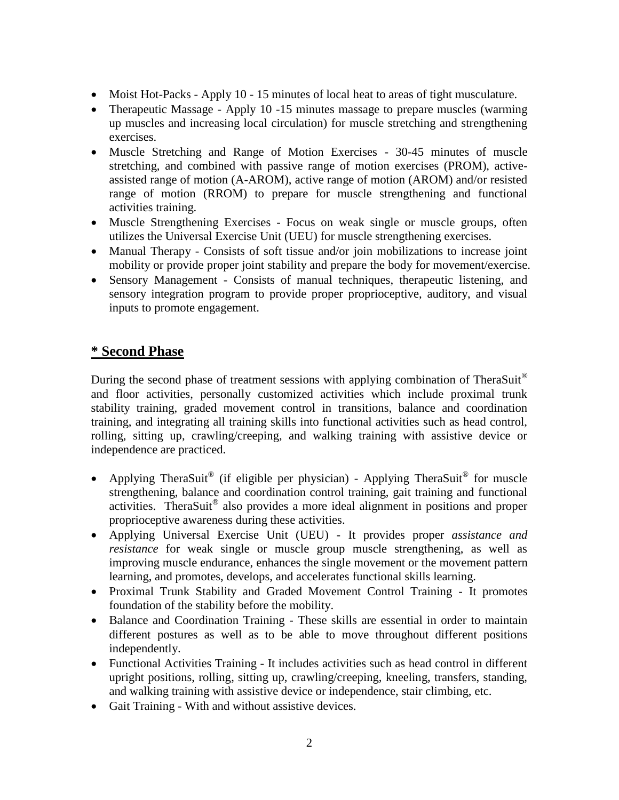- Moist Hot-Packs Apply 10 15 minutes of local heat to areas of tight musculature.
- Therapeutic Massage Apply 10 -15 minutes massage to prepare muscles (warming up muscles and increasing local circulation) for muscle stretching and strengthening exercises.
- Muscle Stretching and Range of Motion Exercises 30-45 minutes of muscle stretching, and combined with passive range of motion exercises (PROM), activeassisted range of motion (A-AROM), active range of motion (AROM) and/or resisted range of motion (RROM) to prepare for muscle strengthening and functional activities training.
- Muscle Strengthening Exercises Focus on weak single or muscle groups, often utilizes the Universal Exercise Unit (UEU) for muscle strengthening exercises.
- Manual Therapy Consists of soft tissue and/or join mobilizations to increase joint mobility or provide proper joint stability and prepare the body for movement/exercise.
- Sensory Management Consists of manual techniques, therapeutic listening, and sensory integration program to provide proper proprioceptive, auditory, and visual inputs to promote engagement.

# **\* Second Phase**

During the second phase of treatment sessions with applying combination of TheraSuit<sup>®</sup> and floor activities, personally customized activities which include proximal trunk stability training, graded movement control in transitions, balance and coordination training, and integrating all training skills into functional activities such as head control, rolling, sitting up, crawling/creeping, and walking training with assistive device or independence are practiced.

- Applying TheraSuit<sup>®</sup> (if eligible per physician) Applying TheraSuit<sup>®</sup> for muscle strengthening, balance and coordination control training, gait training and functional activities. TheraSuit<sup>®</sup> also provides a more ideal alignment in positions and proper proprioceptive awareness during these activities.
- Applying Universal Exercise Unit (UEU) It provides proper *assistance and resistance* for weak single or muscle group muscle strengthening, as well as improving muscle endurance, enhances the single movement or the movement pattern learning, and promotes, develops, and accelerates functional skills learning.
- Proximal Trunk Stability and Graded Movement Control Training It promotes foundation of the stability before the mobility.
- Balance and Coordination Training These skills are essential in order to maintain different postures as well as to be able to move throughout different positions independently.
- Functional Activities Training It includes activities such as head control in different upright positions, rolling, sitting up, crawling/creeping, kneeling, transfers, standing, and walking training with assistive device or independence, stair climbing, etc.
- Gait Training With and without assistive devices.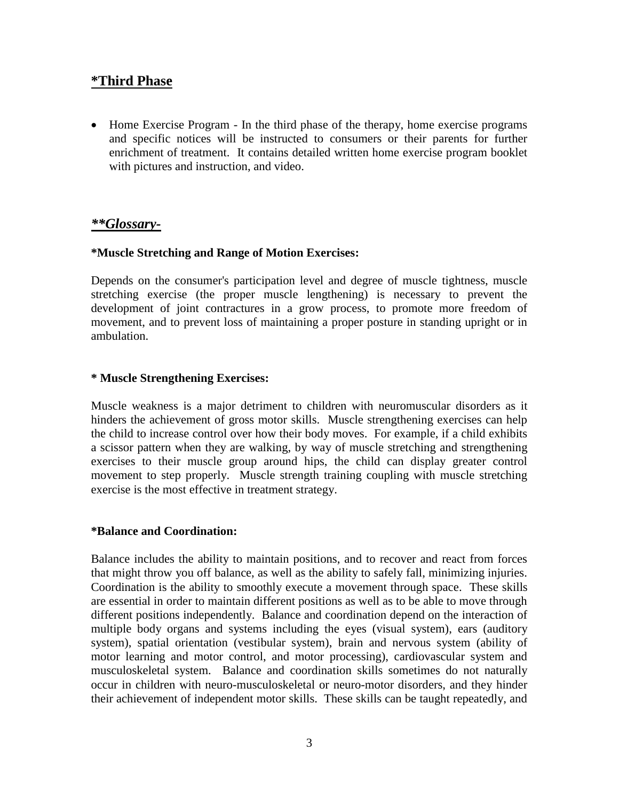### **\*Third Phase**

 Home Exercise Program - In the third phase of the therapy, home exercise programs and specific notices will be instructed to consumers or their parents for further enrichment of treatment. It contains detailed written home exercise program booklet with pictures and instruction, and video.

#### *\*\*Glossary-*

#### **\*Muscle Stretching and Range of Motion Exercises:**

Depends on the consumer's participation level and degree of muscle tightness, muscle stretching exercise (the proper muscle lengthening) is necessary to prevent the development of joint contractures in a grow process, to promote more freedom of movement, and to prevent loss of maintaining a proper posture in standing upright or in ambulation.

#### **\* Muscle Strengthening Exercises:**

Muscle weakness is a major detriment to children with neuromuscular disorders as it hinders the achievement of gross motor skills. Muscle strengthening exercises can help the child to increase control over how their body moves. For example, if a child exhibits a scissor pattern when they are walking, by way of muscle stretching and strengthening exercises to their muscle group around hips, the child can display greater control movement to step properly. Muscle strength training coupling with muscle stretching exercise is the most effective in treatment strategy.

#### **\*Balance and Coordination:**

Balance includes the ability to maintain positions, and to recover and react from forces that might throw you off balance, as well as the ability to safely fall, minimizing injuries. Coordination is the ability to smoothly execute a movement through space. These skills are essential in order to maintain different positions as well as to be able to move through different positions independently. Balance and coordination depend on the interaction of multiple body organs and systems including the eyes (visual system), ears (auditory system), spatial orientation (vestibular system), brain and nervous system (ability of motor learning and motor control, and motor processing), cardiovascular system and musculoskeletal system. Balance and coordination skills sometimes do not naturally occur in children with neuro-musculoskeletal or neuro-motor disorders, and they hinder their achievement of independent motor skills. These skills can be taught repeatedly, and